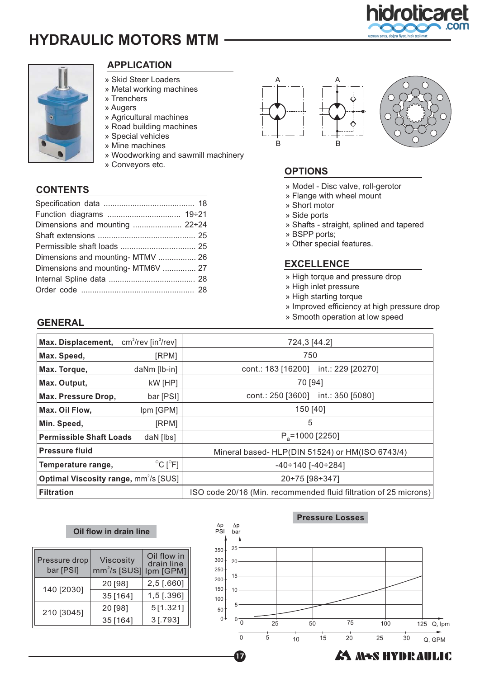# **HYDRAULIC MOTORS MTM**





# **APPLICATION**

- » Skid Steer Loaders
- » Metal working machines
- » Trenchers
- » Augers
- » Agricultural machines
- » Road building machines
- » Special vehicles
- » Mine machines
- » Woodworking and sawmill machinery
- » Conveyors etc.

# **CONTENTS**

| Dimensions and mounting  22÷24     |  |
|------------------------------------|--|
|                                    |  |
|                                    |  |
| Dimensions and mounting- MTMV  26  |  |
| Dimensions and mounting- MTM6V  27 |  |
|                                    |  |
|                                    |  |
|                                    |  |





# **OPTIONS**

- » Model Disc valve, roll-gerotor
- » Flange with wheel mount
- » Short motor
- » Side ports
- » Shafts straight, splined and tapered
- » BSPP ports;
- » Other special features.

### **EXCELLENCE**

- » High torque and pressure drop
- » High inlet pressure
- » High starting torque
- » Improved efficiency at high pressure drop
- » Smooth operation at low speed

### **GENERAL**

| Max. Displacement,             | $cm3/rev$ [in $3/rev$ ]                                                  | 724,3 [44.2]                                                     |  |  |
|--------------------------------|--------------------------------------------------------------------------|------------------------------------------------------------------|--|--|
| Max. Speed,                    | [RPM]                                                                    | 750                                                              |  |  |
| Max. Torque,                   | daNm [lb-in]                                                             | int.: 229 [20270]<br>cont.: 183 [16200]                          |  |  |
| Max. Output,                   | kW [HP]                                                                  | 70 [94]                                                          |  |  |
| Max. Pressure Drop,            | bar [PSI]                                                                | int.: 350 [5080]<br>cont.: 250 [3600]                            |  |  |
| Max. Oil Flow,                 | Ipm [GPM]                                                                | 150 [40]                                                         |  |  |
| Min. Speed,                    | [RPM]                                                                    | 5                                                                |  |  |
| <b>Permissible Shaft Loads</b> | daN [lbs]                                                                | $P_a = 1000$ [2250]                                              |  |  |
| <b>Pressure fluid</b>          |                                                                          | Mineral based- HLP(DIN 51524) or HM(ISO 6743/4)                  |  |  |
| Temperature range,             | $^{\circ}$ C [ $^{\circ}$ F]                                             | $-40 \div 140$ [ $-40 \div 284$ ]                                |  |  |
|                                | <b>Optimal Viscosity range, mm<sup>2</sup>/s [SUS]</b><br>20÷75 [98÷347] |                                                                  |  |  |
| <b>Filtration</b>              |                                                                          | ISO code 20/16 (Min. recommended fluid filtration of 25 microns) |  |  |

### **Oil flow in drain line**

| Pressure drop<br>bar [PSI] | <b>Viscosity</b><br>$mm^2/s$ [SUS] | Oil flow in<br>drain line<br>Ipm [GPM] |
|----------------------------|------------------------------------|----------------------------------------|
| 140 [2030]                 | 20 [98]                            | $2,5$ [.660]                           |
|                            | 35[164]                            | 1,5 [.396]                             |
| 210 [3045]                 | 20 [98]                            | 5[1.321]                               |
|                            | 35 [164]                           | $3$ [.793]                             |



**A NES HYDRAULIC** 

**Pressure Losses**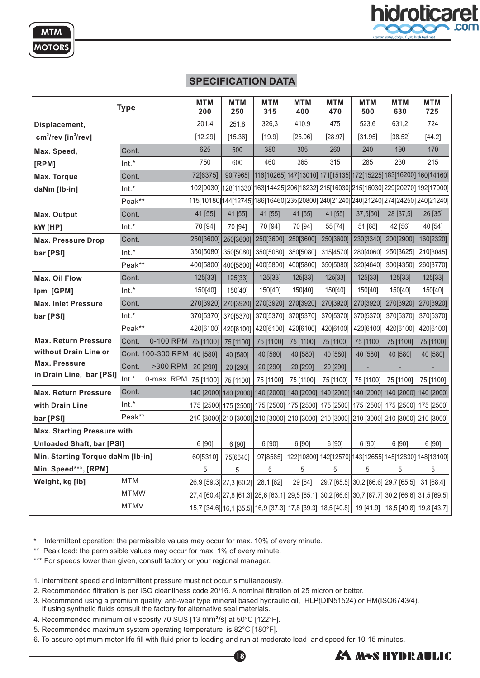# **SPECIFICATION DATA**

|                                             | <b>Type</b> |                   | <b>MTM</b><br>200   | <b>MTM</b><br>250       | <b>MTM</b><br>315 | <b>MTM</b><br>400 | <b>MTM</b><br>470 | <b>MTM</b><br>500 | <b>MTM</b><br>630                                                                       | <b>MTM</b><br>725                                                                               |
|---------------------------------------------|-------------|-------------------|---------------------|-------------------------|-------------------|-------------------|-------------------|-------------------|-----------------------------------------------------------------------------------------|-------------------------------------------------------------------------------------------------|
| Displacement,                               |             |                   | 201,4               | 251,8                   | 326,3             | 410,9             | 475               | 523,6             | 631,2                                                                                   | 724                                                                                             |
| cm <sup>3</sup> /rev [in <sup>3</sup> /rev] |             |                   | [12.29]             | [15.36]                 | [19.9]            | [25.06]           | [28.97]           | [31.95]           | [38.52]                                                                                 | [44.2]                                                                                          |
| Max. Speed,                                 | Cont.       |                   | 625                 | 500                     | 380               | 305               | 260               | 240               | 190                                                                                     | 170                                                                                             |
| [RPM]                                       | $Int.*$     |                   | 750                 | 600                     | 460               | 365               | 315               | 285               | 230                                                                                     | 215                                                                                             |
| Max. Torque                                 | Cont.       |                   | 72[6375]            | 90[7965]                |                   |                   |                   |                   |                                                                                         | 116[10265] 147[13010] 171[15135] 172[15225] 183[16200] 160[14160]                               |
| daNm [lb-in]                                | $Int.*$     |                   |                     |                         |                   |                   |                   |                   |                                                                                         | 102[9030] 128[11330] 163[14425] 206[18232] 215[16030] 215[16030] 229[20270] 192[17000]          |
|                                             | Peak**      |                   |                     |                         |                   |                   |                   |                   |                                                                                         | 115[10180]144[12745] 186[16460]235[20800] 240[21240] 240[21240] 274[24250] 240[21240]           |
| Max. Output                                 | Cont.       |                   | 41 [55]             | 41 [55]                 | 41 [55]           | 41 [55]           | 41 [55]           | 37,5[50]          | 28 [37,5]                                                                               | 26 [35]                                                                                         |
| kW [HP]                                     | $Int.*$     |                   | 70 [94]             | 70 [94]                 | 70 [94]           | 70 [94]           | 55 [74]           | 51 [68]           | 42 [56]                                                                                 | 40 [54]                                                                                         |
| <b>Max. Pressure Drop</b>                   | Cont.       |                   | 250[3600] 250[3600] |                         | 250[3600]         | 250[3600]         | 250[3600]         |                   | 230[3340] 200[2900]                                                                     | 160[2320]                                                                                       |
| bar [PSI]                                   | Int.*       |                   | 350[5080]           | 350[5080]               | 350[5080]         | 350[5080]         | 315[4570]         |                   | 280[4060] 250[3625]                                                                     | 210[3045]                                                                                       |
|                                             | Peak**      |                   |                     | 400[5800] 400[5800]     | 400[5800]         | 400[5800]         | 350[5080]         | 320[4640]         | 300[4350]                                                                               | 260[3770]                                                                                       |
| Max. Oil Flow                               | Cont.       |                   | 125[33]             | 125[33]                 | 125[33]           | 125[33]           | 125[33]           | 125[33]           | 125[33]                                                                                 | 125[33]                                                                                         |
| Ipm [GPM]                                   | $Int.*$     |                   | 150[40]             | 150[40]                 | 150[40]           | 150[40]           | 150[40]           | 150[40]           | 150[40]                                                                                 | 150[40]                                                                                         |
| <b>Max. Inlet Pressure</b>                  | Cont.       |                   | 270[3920]           | 270[3920]               | 270[3920]         | 270[3920]         | 270[3920]         |                   | 270[3920] 270[3920]                                                                     | 270[3920]                                                                                       |
| bar [PSI]                                   | $Int.*$     |                   |                     | 370[5370] 370[5370]     | 370[5370]         | 370[5370]         | 370[5370]         |                   | 370[5370] 370[5370]                                                                     | 370[5370]                                                                                       |
|                                             | Peak**      |                   |                     | 420[6100] 420[6100]     | 420[6100]         | 420[6100]         | 420[6100]         |                   | 420[6100] 420[6100]                                                                     | 420[6100]                                                                                       |
| <b>Max. Return Pressure</b>                 | Cont.       | 0-100 RPM         | 75 [1100]           | 75 [1100]               | 75 [1100]         | 75 [1100]         | 75 [1100]         | 75 [1100]         | 75 [1100]                                                                               | 75 [1100]                                                                                       |
| without Drain Line or                       |             | Cont. 100-300 RPM | 40 [580]            | 40 [580]                | 40 [580]          | 40 [580]          | 40 [580]          | 40 [580]          | 40 [580]                                                                                | 40 [580]                                                                                        |
| <b>Max. Pressure</b>                        | Cont.       | >300 RPM          | 20 [290]            | 20 [290]                | 20 [290]          | 20 [290]          | 20 [290]          |                   |                                                                                         |                                                                                                 |
| in Drain Line, bar [PSI]                    | Int.*       | 0-max. RPM        | 75 [1100]           | 75 [1100]               | 75 [1100]         | 75 [1100]         | 75 [1100]         | 75 [1100]         | 75 [1100]                                                                               | 75 [1100]                                                                                       |
| <b>Max. Return Pressure</b>                 | Cont.       |                   |                     |                         |                   |                   |                   |                   |                                                                                         | 140 [2000] 140 [2000] 140 [2000] 140 [2000] 140 [2000] 140 [2000] 140 [2000] 140 [2000]         |
| with Drain Line                             | $Int.*$     |                   |                     |                         |                   |                   |                   |                   |                                                                                         | 175 [2500] 175 [2500] 175 [2500] 175 [2500] 175 [2500] 175 [2500] 175 [2500] 175 [2500]         |
| bar [PSI]                                   | Peak**      |                   |                     |                         |                   |                   |                   |                   | 210 [3000] 210 [3000] 210 [3000] 210 [3000] 210 [3000] 210 [3000] 210 [3000] 210 [3000] |                                                                                                 |
| <b>Max. Starting Pressure with</b>          |             |                   |                     |                         |                   |                   |                   |                   |                                                                                         |                                                                                                 |
| <b>Unloaded Shaft, bar [PSI]</b>            |             | 6 [90]            | 6 [90]              | 6 [90]                  | 6 [90]            | 6 [90]            | 6 [90]            | 6 [90]            | 6 [90]                                                                                  |                                                                                                 |
| Min. Starting Torque daNm [lb-in]           |             |                   | 60[5310]            | 75[6640]                | 97[8585]          |                   |                   |                   | 122[10800] 142[12570] 143[12655] 145[12830] 148[13100]                                  |                                                                                                 |
| Min. Speed***, [RPM]                        |             |                   | 5                   | 5                       | 5                 | 5                 | 5                 | 5                 | 5                                                                                       | 5                                                                                               |
| Weight, kg [lb]                             | MTM         |                   |                     | 26,9 [59.3] 27,3 [60.2] | 28,1 [62]         | 29 [64]           |                   |                   | 29,7 [65.5] 30,2 [66.6] 29,7 [65.5]                                                     | 31 [68.4]                                                                                       |
|                                             | <b>MTMW</b> |                   |                     |                         |                   |                   |                   |                   |                                                                                         | 27,4 [60.4] 27,8 [61.3] 28,6 [63.1] 29,5 [65.1] 30,2 [66.6] 30,7 [67.7] 30,2 [66.6] 31,5 [69.5] |
|                                             | <b>MTMV</b> |                   |                     |                         |                   |                   |                   |                   |                                                                                         | 15,7 [34.6] 16,1 [35.5] 16,9 [37.3] 17,8 [39.3] 18,5 [40.8] 19 [41.9] 18,5 [40.8] 19,8 [43.7]   |

\* Intermittent operation: the permissible values may occur for max. 10% of every minute.

\*\* Peak load: the permissible values may occur for max. 1% of every minute.

\*\*\* For speeds lower than given, consult factory or your regional manager.

- 1. Intermittent speed and intermittent pressure must not occur simultaneously.
- 2. Recommended filtration is per ISO cleanliness code 20/16. A nominal filtration of 25 micron or better.
- 3. Recommend using a premium quality, anti-wear type mineral based hydraulic oil, HLP(DIN51524) or HM(ISO6743/4). If using synthetic fluids consult the factory for alternative seal materials.
- 4. Recommended minimum oil viscosity 70 SUS [13 mm<sup>2</sup>/s] at 50°C [122°F].
- 5. Recommended maximum system operating temperature is 82°C [180°F].
- 6. To assure optimum motor life fill with fluid prior to loading and run at moderate load and speed for 10-15 minutes.



**A NES HYDRAULIC**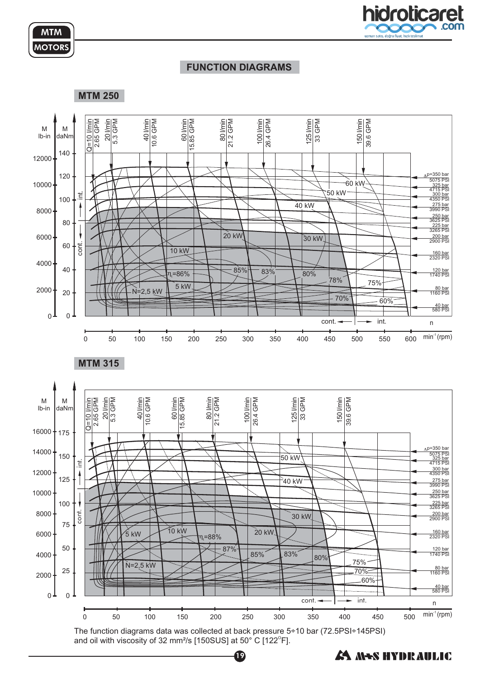



### **FUNCTION DIAGRAMS**



The function diagrams data was collected at back pressure 5÷10 bar (72.5PSI÷145PSI) and oil with viscosity of 32 mm²/s [150SUS] at 50° C [122 $^{\rm o}$ F].

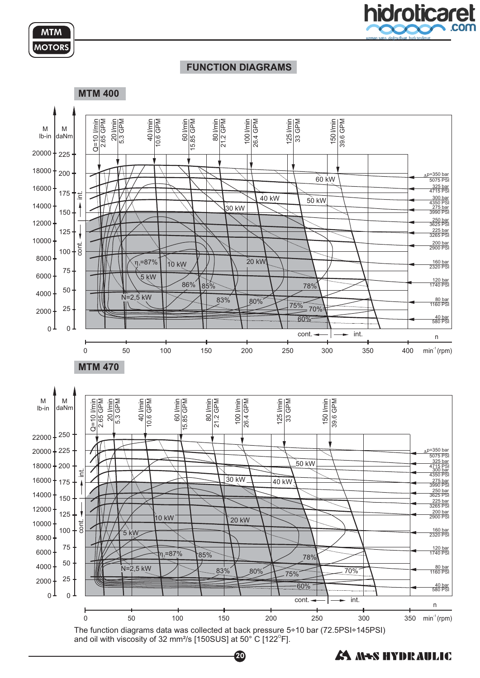



### **FUNCTION DIAGRAMS**



and oil with viscosity of 32 mm²/s [150SUS] at 50° C [122 $^{\rm o}$ F].

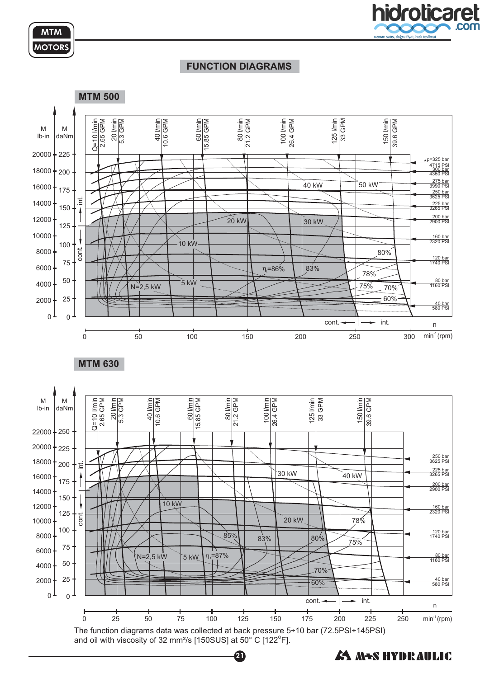



### **FUNCTION DIAGRAMS**



and oil with viscosity of 32 mm²/s [150SUS] at 50° C [122 $^{\rm o}$ F].

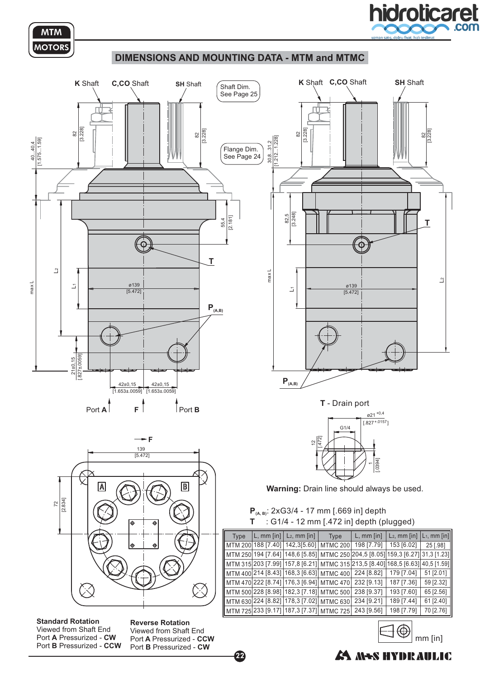

mm [in]

A NS HYDRAULIC



### **DIMENSIONS AND MOUNTING DATA - MTM and MTMC**



22

Port A Pressurized - CW Port **B** Pressurized - CCW Viewed from Shaft End

Port A Pressurized - CCW Port **B** Pressurized - CW Viewed from Shaft End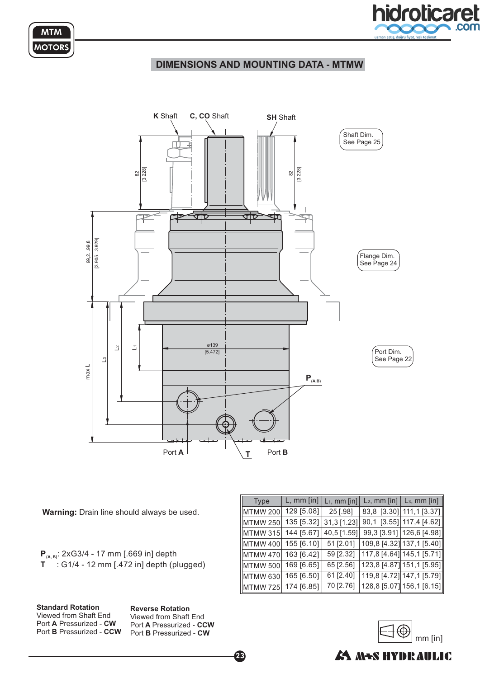



### **DIMENSIONS AND MOUNTING DATA - MTMW**



**Warning:** Drain line should always be used.

: 2xG3/4 - 17 mm [.669 in] depth : G1/4 - 12 mm [.472 in] depth (plugged) **P T (A, B)**

**Standard Rotation** Port A Pressurized - CW Port **B** Pressurized - CCW Viewed from Shaft End

**Reverse Rotation** Port A Pressurized - CCW Port **B** Pressurized - CW Viewed from Shaft End

23

| Type            | $L,$ mm $[$ in $]$ | $L_1$ , mm [in] | $L_2$ , mm [in] $\vert$ $L_3$ , mm [in] |
|-----------------|--------------------|-----------------|-----------------------------------------|
| <b>MTMW 200</b> | 129 [5.08]         | 25 [.98]        | 83,8 [3.30] 111,1 [3.37]                |
| MTMW 250        | 135 [5.32]         | 31,3 [1.23]     | 90,1 [3.55] 117,4 [4.62]                |
| MTMW 315        | 144 [5.67]         | 40,5 [1.59]     | 99,3 [3.91] 126,6 [4.98]                |
| MTMW 400        | 155 [6.10]         | 51 [2.01]       | 109,8 [4.32] 137,1 [5.40]               |
| MTMW 470        | 163 [6.42]         | 59 [2.32]       | 117,8 [4.64] 145,1 [5.71]               |
| MTMW 500        | 169 [6.65]         | 65 [2.56]       | 123,8 [4.87] 151,1 [5.95]               |
| MTMW 630        | 165 [6.50]         | 61 [2.40]       | 119,8 [4.72] 147,1 [5.79]               |
| MTMW 725        | 174 [6.85]         | 70 [2.76]       | 128,8 [5.07] 156,1 [6.15]               |



# A MAS HYDRAULIC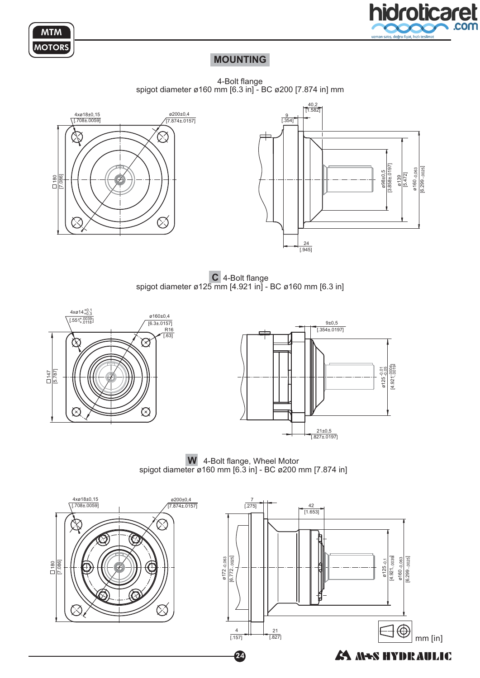



# **MOUNTING**

4-Bolt flange spigot diameter ø160 mm [6.3 in] - BC ø200 [7.874 in] mm





**C** 4-Bolt flange spigot diameter ø125 mm [4.921 in] - BC ø160 mm [6.3 in]



**W** 4-Bolt flange, Wheel Motor spigot diameter ø160 mm [6.3 in] - BC ø200 mm [7.874 in]

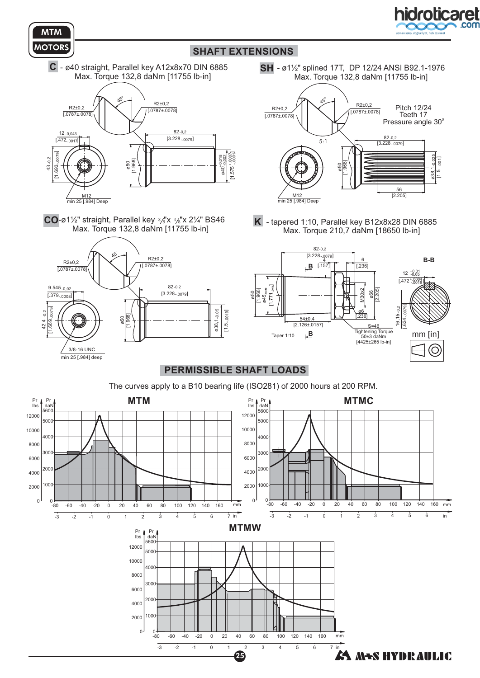



# **SHAFT EXTENSIONS**

C - ø40 straight, Parallel key A12x8x70 DIN 6885 Max. Torque 132,8 daNm [11755 lb-in]



**CO**-ø1½" straight, Parallel key  $\frac{3}{8}$ 'x  $\frac{3}{8}$ 'x 2¼" BS46 Max. Torque 132,8 daNm [11755 lb-in]



SH - ø1½" splined 17T, DP 12/24 ANSI B92.1-1976 Max. Torque 132,8 daNm [11755 lb-in]



**K** - tapered 1:10, Parallel key B12x8x28 DIN 6885 Max. Torque 210,7 daNm [18650 lb-in]



### **PERMISSIBLE SHAFT LOADS**

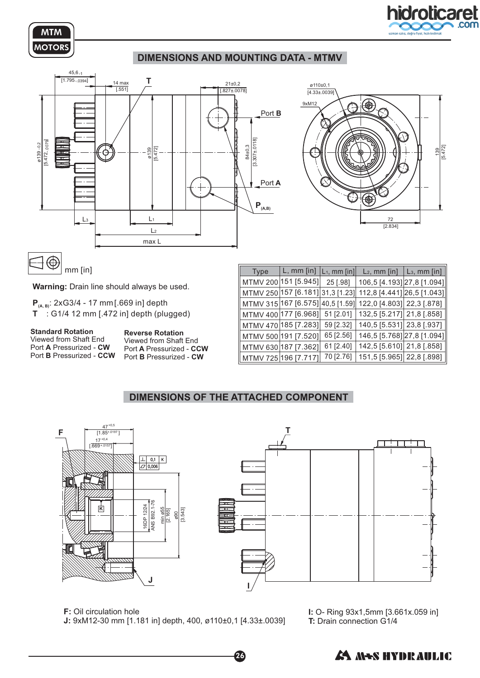

# **DIMENSIONS AND MOUNTING DATA - MTMV**





 $\bigoplus$ mm [in]

**Warning:** Drain line should always be used.

: 2xG3/4 - 17 mm[.669 in] depth **P (A, B)** : G1/4 12 mm [.472 in] depth (plugged) **T**

**Standard Rotation** Port A Pressurized - CW Port **B** Pressurized - CCW Viewed from Shaft End

**Reverse Rotation** Port A Pressurized - CCW Port **B** Pressurized - CW Viewed from Shaft End

| <b>Type</b> | $L,$ mm $[$ in $]$   | $L_1$ , mm [in]                | $L2$ , mm [in]             | $L_3$ , mm [in] |
|-------------|----------------------|--------------------------------|----------------------------|-----------------|
|             | MTMV 200 151 [5.945] | 25 [.98]                       | 106,5 [4.193] 27,8 [1.094] |                 |
|             | MTMV 250 157 [6.181] | $\vert 31, 3 \vert 1.23 \vert$ | 112,8 [4.441] 26,5 [1.043] |                 |
|             | MTMV 315 167 [6.575] | 40,5 1.59                      | 122,0 [4.803] 22,3 [.878]  |                 |
|             | MTMV 400 177 [6.968] | 51 [2.01]                      | 132,5 [5.217] 21,8 [.858]  |                 |
|             | MTMV 470 185 [7.283] | 59 [2.32]                      | 140,5 [5.531] 23,8 [.937]  |                 |
|             | MTMV 500 191 [7.520] | 65 [2.56]                      | 146,5 [5.768] 27,8 [1.094] |                 |
|             | MTMV 630 187 [7.362] | 61 [2.40]                      | 142,5 [5.610] 21,8 [.858]  |                 |
|             | MTMV 725 196 [7.717] | 70 [2.76]                      | 151,5 [5.965] 22,8 [.898]  |                 |

# **DIMENSIONS OF THE ATTACHED COMPONENT**



26

**F:** Oil circulation hole

9xM12-30 mm [1.181 in] depth, 400, ø110±0,1 [4.33±.0039] **J:**

**I:** O- Ring 93x1,5mm [3.661x.059 in] **T:** Drain connection G1/4



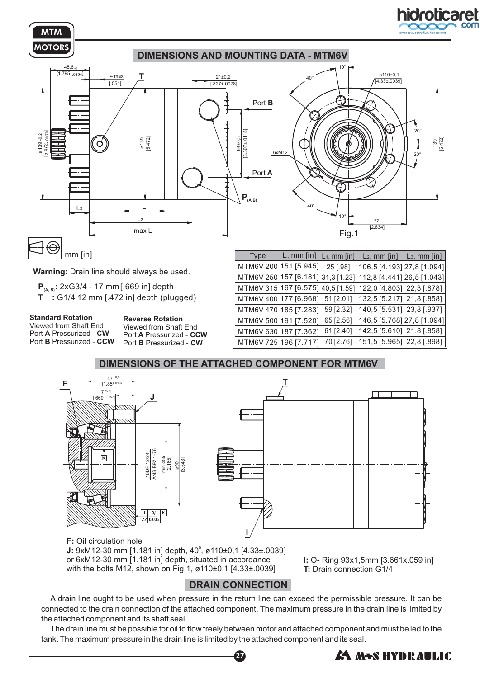

mm [in]

**Warning:** Drain line should always be used.

**Р<sub>(д, в)</sub>: 2xG3/4 - 17 mm[.669 in] depth** 

G1/4 12 mm [.472 in] depth (plugged) **T :**

**Standard Rotation** Port A Pressurized - CW Port **B** Pressurized - CCW Viewed from Shaft End

**Reverse Rotation** Port A Pressurized - CCW Port **B** Pressurized - CW Viewed from Shaft End

| <b>Type</b>                       | $L,$ mm $[$ in] | $ L_1$ , mm [in] | $L_2$ , mm [in]            | $L_3$ , mm [in] |
|-----------------------------------|-----------------|------------------|----------------------------|-----------------|
| MTM6V 200 151 [5.945]             |                 | 25 [.98]         | 106,5 [4.193] 27,8 [1.094] |                 |
| MTM6V 250 157 [6.181] 31,3 [1.23] |                 |                  | 112,8 [4.441] 26,5 [1.043] |                 |
| MTM6V 315 167 [6.575] 40,5 [1.59] |                 |                  | 122,0 [4.803] 22,3 [.878]  |                 |
| MTM6V 400 177 [6.968]             |                 | 51 [2.01]        | 132,5 [5.217] 21,8 [.858]  |                 |
| MTM6V 470   185 [7.283]           |                 | 59 [2.32]        | 140,5 [5.531] 23,8 [.937]  |                 |
| MTM6V 500 191 [7.520]             |                 | 65 [2.56]        | 146,5 [5.768] 27,8 [1.094] |                 |
| MTM6V 630 187 [7.362]             |                 | 61 [2.40]        | 142,5 [5.610] 21,8 [.858]  |                 |
| MTM6V 725 196 [7.717]             |                 | 70 [2.76]        | 151,5 [5.965] 22,8 [.898]  |                 |





**J:** 9xM12-30 mm [1.181 in] depth, 40<sup>°</sup>, ø110±0,1 [4.33±.0039] or 6xM12-30 mm [1.181 in] depth, situated in accordance with the bolts M12, shown on Fig.1, ø110±0,1 [4.33±.0039]

**I:** O- Ring 93x1,5mm [3.661x.059 in] **T:** Drain connection G1/4

# **DRAIN CONNECTION**

A drain line ought to be used when pressure in the return line can exceed the permissible pressure. It can be connected to the drain connection of the attached component. The maximum pressure in the drain line is limited by the attached component and its shaft seal.

The drain line must be possible for oil to flow freely between motor and attached component and must be led to the tank. The maximum pressure in the drain line is limited by the attached component and its seal.